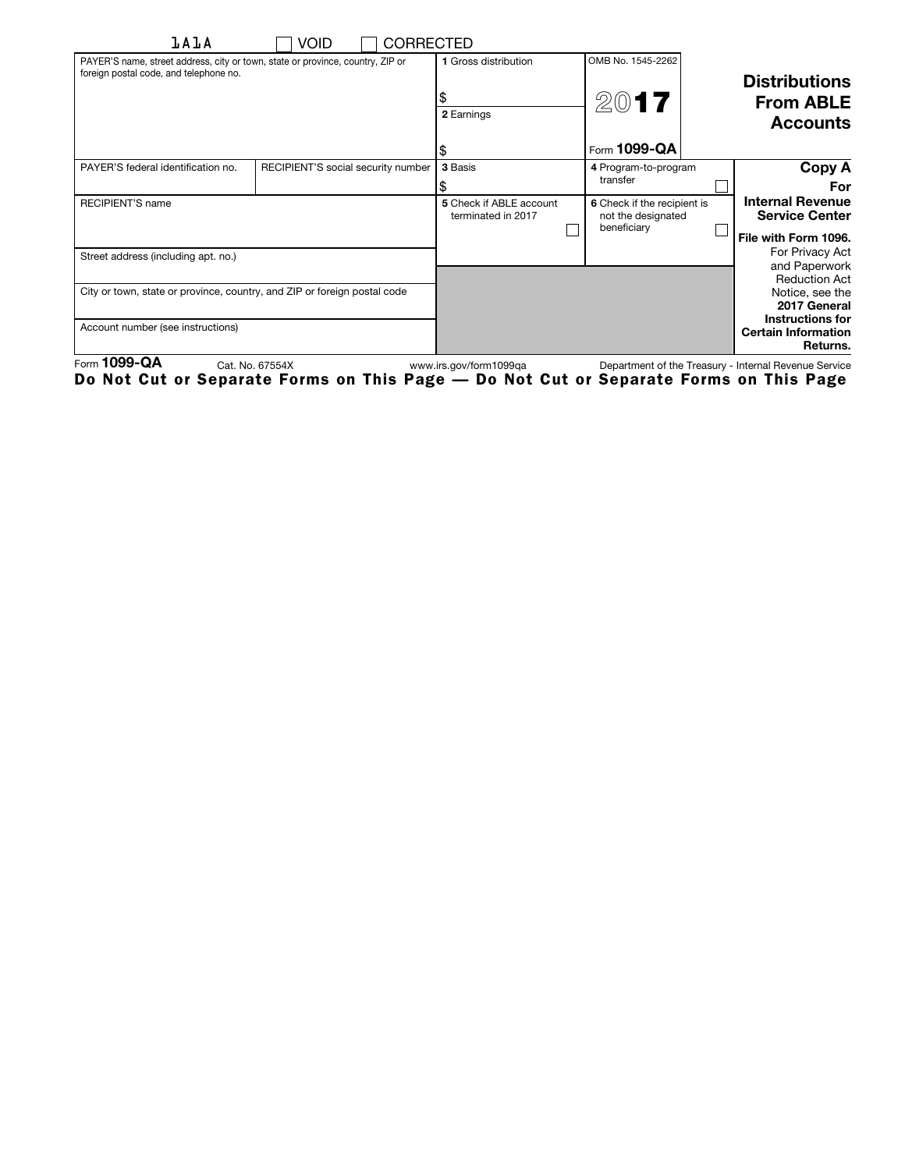| <b>lAlA</b>                                                                                                              | Void<br><b>CORRECTED</b>           |                                               |                                                                  |  |                                                                   |
|--------------------------------------------------------------------------------------------------------------------------|------------------------------------|-----------------------------------------------|------------------------------------------------------------------|--|-------------------------------------------------------------------|
| PAYER'S name, street address, city or town, state or province, country, ZIP or<br>foreign postal code, and telephone no. |                                    | 1 Gross distribution                          | OMB No. 1545-2262                                                |  | <b>Distributions</b>                                              |
|                                                                                                                          |                                    | 2 Earnings                                    | 2017                                                             |  | <b>From ABLE</b><br><b>Accounts</b>                               |
|                                                                                                                          |                                    |                                               | Form 1099-QA                                                     |  |                                                                   |
| PAYER'S federal identification no.                                                                                       | RECIPIENT'S social security number | 3 Basis                                       | 4 Program-to-program<br>transfer                                 |  | Copy A<br>For                                                     |
| <b>RECIPIENT'S name</b>                                                                                                  |                                    | 5 Check if ABLE account<br>terminated in 2017 | 6 Check if the recipient is<br>not the designated<br>beneficiary |  | <b>Internal Revenue</b><br><b>Service Center</b>                  |
| Street address (including apt. no.)                                                                                      |                                    |                                               |                                                                  |  | File with Form 1096.<br>For Privacy Act<br>and Paperwork          |
| City or town, state or province, country, and ZIP or foreign postal code                                                 |                                    |                                               |                                                                  |  | <b>Reduction Act</b><br>Notice, see the<br>2017 General           |
| Account number (see instructions)                                                                                        |                                    |                                               |                                                                  |  | <b>Instructions for</b><br><b>Certain Information</b><br>Returns. |

Form 1099-QA Cat. No. 67554X www.irs.gov/form1099qa Department of the Treasury - Internal Revenue Service Do Not Cut or Separate Forms on This Page — Do Not Cut or Separate Forms on This Page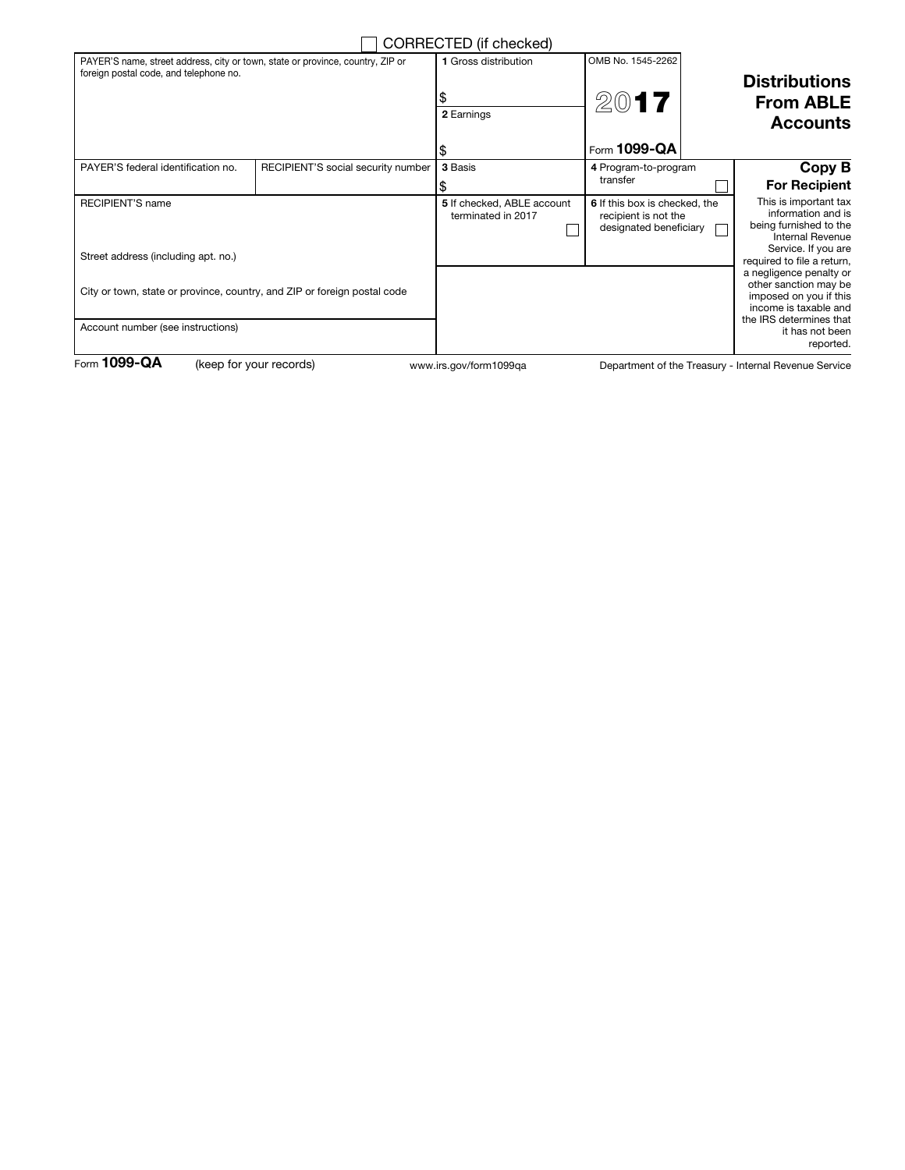|                                                                                                                          |                                    | CORRECTED (if checked)                           |                                                                                 |                                                             |                                                                                                                                                       |
|--------------------------------------------------------------------------------------------------------------------------|------------------------------------|--------------------------------------------------|---------------------------------------------------------------------------------|-------------------------------------------------------------|-------------------------------------------------------------------------------------------------------------------------------------------------------|
| PAYER'S name, street address, city or town, state or province, country, ZIP or<br>foreign postal code, and telephone no. |                                    | 1 Gross distribution<br>2 Earnings               | OMB No. 1545-2262<br>2017                                                       | <b>Distributions</b><br><b>From ABLE</b><br><b>Accounts</b> |                                                                                                                                                       |
|                                                                                                                          |                                    |                                                  | Form 1099-QA                                                                    |                                                             |                                                                                                                                                       |
| PAYER'S federal identification no.                                                                                       | RECIPIENT'S social security number | 3 Basis                                          | 4 Program-to-program<br>transfer                                                |                                                             | Copy B<br><b>For Recipient</b>                                                                                                                        |
| <b>RECIPIENT'S name</b><br>Street address (including apt. no.)                                                           |                                    | 5 If checked, ABLE account<br>terminated in 2017 | 6 If this box is checked, the<br>recipient is not the<br>designated beneficiary |                                                             | This is important tax<br>information and is<br>being furnished to the<br><b>Internal Revenue</b><br>Service. If you are<br>required to file a return, |
| City or town, state or province, country, and ZIP or foreign postal code                                                 |                                    |                                                  |                                                                                 |                                                             | a negligence penalty or<br>other sanction may be<br>imposed on you if this<br>income is taxable and<br>the IRS determines that                        |
| Account number (see instructions)                                                                                        |                                    |                                                  |                                                                                 |                                                             | it has not been<br>reported.                                                                                                                          |
| Form $1099 - QA$                                                                                                         | (keep for your records)            | www.irs.gov/form1099ga                           |                                                                                 |                                                             | Department of the Treasury - Internal Revenue Service                                                                                                 |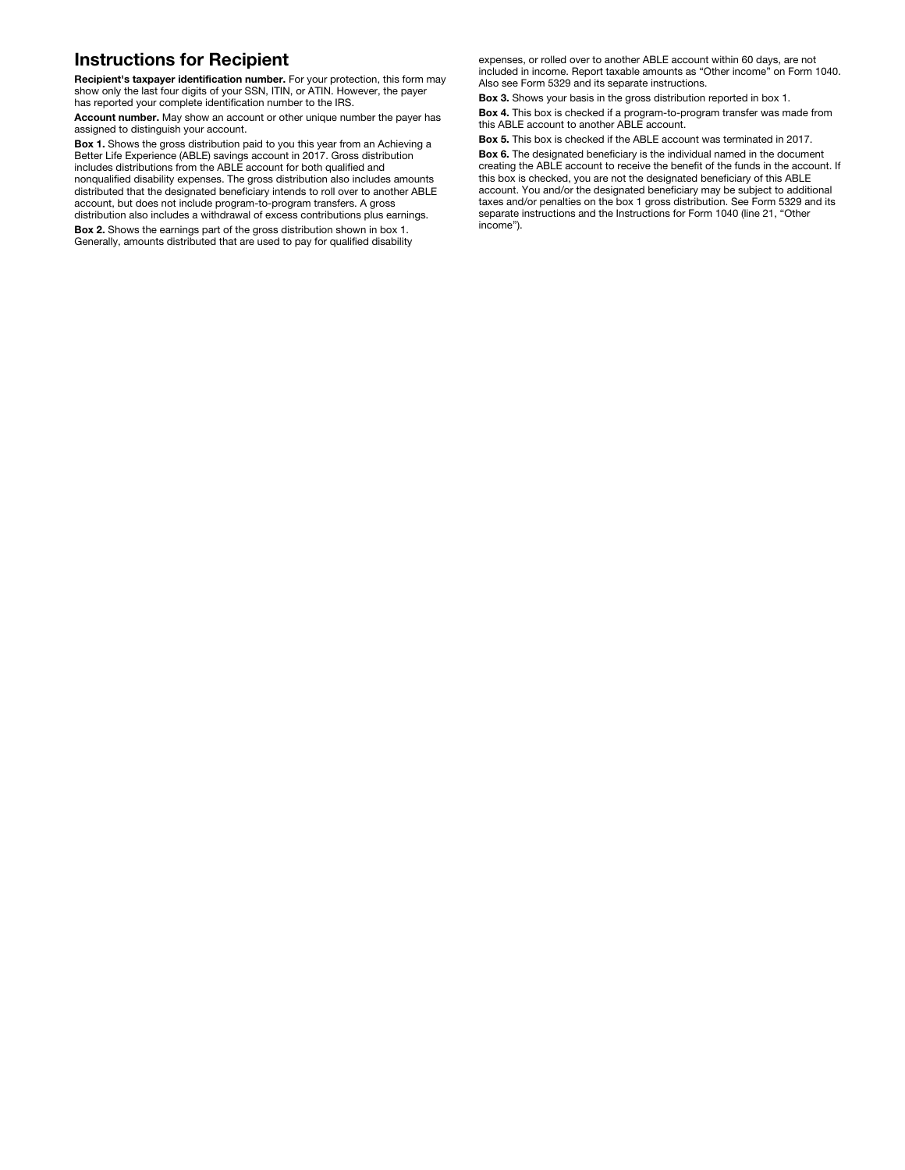## Instructions for Recipient

Recipient's taxpayer identification number. For your protection, this form may show only the last four digits of your SSN, ITIN, or ATIN. However, the payer has reported your complete identification number to the IRS.

Account number. May show an account or other unique number the payer has assigned to distinguish your account.

Box 1. Shows the gross distribution paid to you this year from an Achieving a Better Life Experience (ABLE) savings account in 2017. Gross distribution includes distributions from the ABLE account for both qualified and nonqualified disability expenses. The gross distribution also includes amounts distributed that the designated beneficiary intends to roll over to another ABLE account, but does not include program-to-program transfers. A gross distribution also includes a withdrawal of excess contributions plus earnings.

Box 2. Shows the earnings part of the gross distribution shown in box 1. Generally, amounts distributed that are used to pay for qualified disability

expenses, or rolled over to another ABLE account within 60 days, are not included in income. Report taxable amounts as "Other income" on Form 1040. Also see Form 5329 and its separate instructions.

Box 3. Shows your basis in the gross distribution reported in box 1.

Box 4. This box is checked if a program-to-program transfer was made from this ABLE account to another ABLE account.

Box 5. This box is checked if the ABLE account was terminated in 2017.

Box 6. The designated beneficiary is the individual named in the document creating the ABLE account to receive the benefit of the funds in the account. If this box is checked, you are not the designated beneficiary of this ABLE account. You and/or the designated beneficiary may be subject to additional taxes and/or penalties on the box 1 gross distribution. See Form 5329 and its separate instructions and the Instructions for Form 1040 (line 21, "Other income").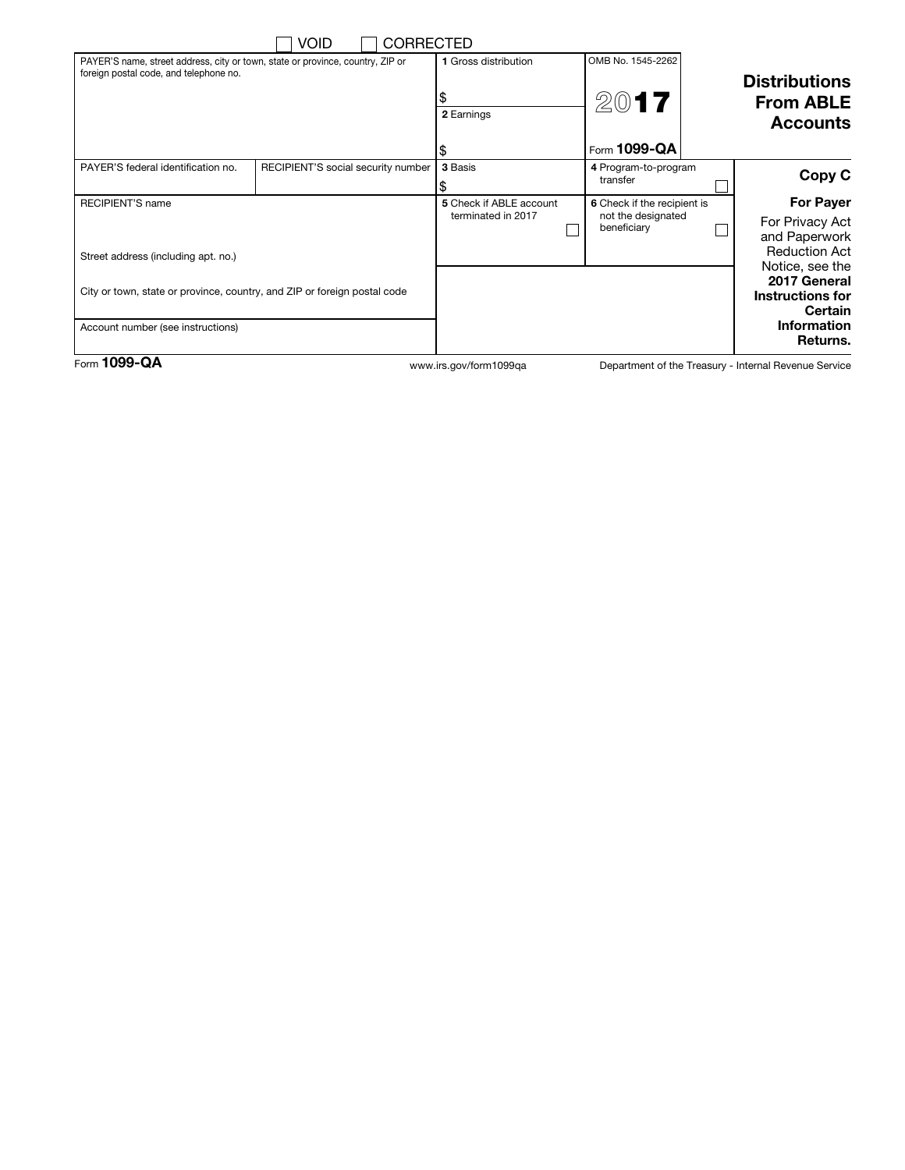|                                                                                                                          | <b>VOID</b>                        | <b>CORRECTED</b>        |                             |                                   |                      |                                         |
|--------------------------------------------------------------------------------------------------------------------------|------------------------------------|-------------------------|-----------------------------|-----------------------------------|----------------------|-----------------------------------------|
| PAYER'S name, street address, city or town, state or province, country, ZIP or<br>foreign postal code, and telephone no. |                                    | 1 Gross distribution    | OMB No. 1545-2262           |                                   |                      |                                         |
|                                                                                                                          |                                    |                         |                             |                                   | <b>Distributions</b> |                                         |
|                                                                                                                          |                                    |                         | 2017                        |                                   | <b>From ABLE</b>     |                                         |
|                                                                                                                          |                                    |                         | 2 Earnings                  |                                   |                      | <b>Accounts</b>                         |
|                                                                                                                          |                                    |                         | \$                          | Form 1099-QA                      |                      |                                         |
| PAYER'S federal identification no.                                                                                       | RECIPIENT'S social security number |                         | 3 Basis                     | 4 Program-to-program              |                      | Copy C                                  |
|                                                                                                                          |                                    |                         |                             | transfer                          |                      |                                         |
| <b>RECIPIENT'S name</b>                                                                                                  |                                    | 5 Check if ABLE account | 6 Check if the recipient is |                                   | <b>For Payer</b>     |                                         |
|                                                                                                                          |                                    |                         | terminated in 2017          | not the designated<br>beneficiary |                      | For Privacy Act                         |
|                                                                                                                          |                                    |                         |                             |                                   |                      | and Paperwork                           |
| Street address (including apt. no.)                                                                                      |                                    |                         |                             |                                   |                      | <b>Reduction Act</b><br>Notice, see the |
|                                                                                                                          |                                    |                         |                             |                                   |                      | 2017 General                            |
| City or town, state or province, country, and ZIP or foreign postal code                                                 |                                    |                         |                             |                                   | Instructions for     |                                         |
|                                                                                                                          |                                    |                         |                             |                                   |                      | <b>Certain</b>                          |
| Account number (see instructions)                                                                                        |                                    |                         |                             |                                   | <b>Information</b>   |                                         |
|                                                                                                                          |                                    |                         |                             |                                   |                      | Returns.                                |

Form 1099-QA www.irs.gov/form1099qa

Department of the Treasury - Internal Revenue Service